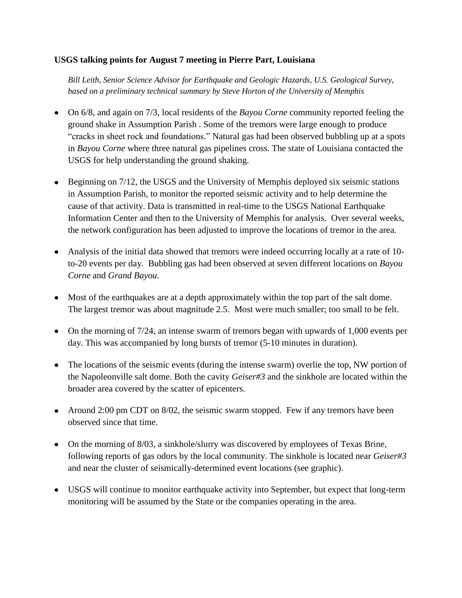## **USGS talking points for August 7 meeting in Pierre Part, Louisiana**

*Bill Leith, Senior Science Advisor for Earthquake and Geologic Hazards, U.S. Geological Survey, based on a preliminary technical summary by Steve Horton of the University of Memphis*

- On 6/8, and again on 7/3, local residents of the *Bayou Corne* community reported feeling the ground shake in Assumption Parish . Some of the tremors were large enough to produce "cracks in sheet rock and foundations." Natural gas had been observed bubbling up at a spots in *Bayou Corne* where three natural gas pipelines cross. The state of Louisiana contacted the USGS for help understanding the ground shaking.
- Beginning on 7/12, the USGS and the University of Memphis deployed six seismic stations in Assumption Parish, to monitor the reported seismic activity and to help determine the cause of that activity. Data is transmitted in real-time to the USGS National Earthquake Information Center and then to the University of Memphis for analysis. Over several weeks, the network configuration has been adjusted to improve the locations of tremor in the area.
- Analysis of the initial data showed that tremors were indeed occurring locally at a rate of 10 to-20 events per day. Bubbling gas had been observed at seven different locations on *Bayou Corne* and *Grand Bayou*.
- Most of the earthquakes are at a depth approximately within the top part of the salt dome. The largest tremor was about magnitude 2.5. Most were much smaller; too small to be felt.
- On the morning of 7/24, an intense swarm of tremors began with upwards of 1,000 events per day. This was accompanied by long bursts of tremor (5-10 minutes in duration).
- $\bullet$ The locations of the seismic events (during the intense swarm) overlie the top, NW portion of the Napoleonville salt dome. Both the cavity *Geiser#3* and the sinkhole are located within the broader area covered by the scatter of epicenters.
- Around 2:00 pm CDT on 8/02, the seismic swarm stopped. Few if any tremors have been observed since that time.
- On the morning of 8/03, a sinkhole/slurry was discovered by employees of Texas Brine, following reports of gas odors by the local community. The sinkhole is located near *Geiser#3* and near the cluster of seismically-determined event locations (see graphic).
- USGS will continue to monitor earthquake activity into September, but expect that long-term monitoring will be assumed by the State or the companies operating in the area.